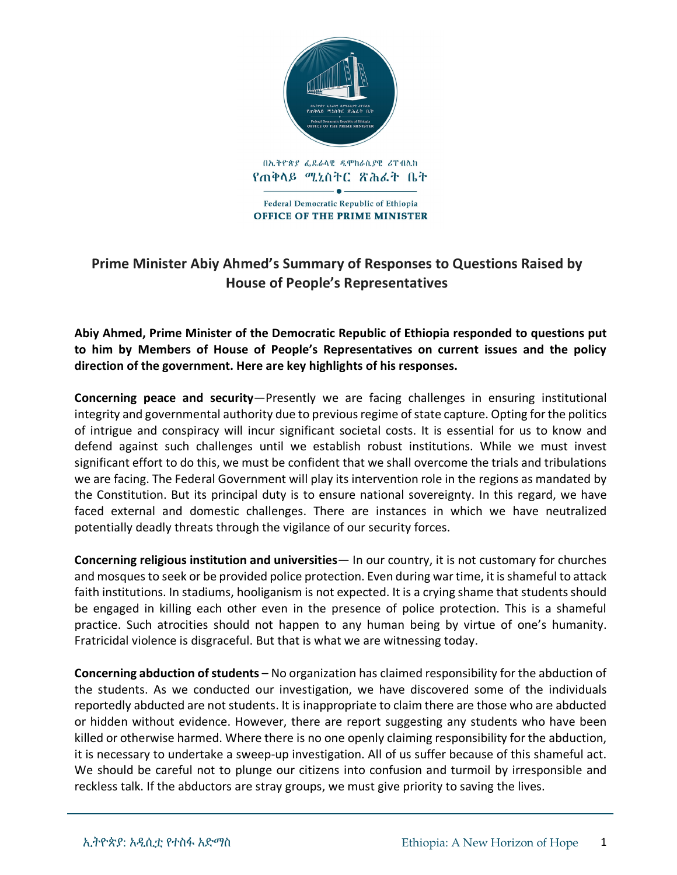

## **Prime Minister Abiy Ahmed's Summary of Responses to Questions Raised by House of People's Representatives**

**Abiy Ahmed, Prime Minister of the Democratic Republic of Ethiopia responded to questions put to him by Members of House of People's Representatives on current issues and the policy direction of the government. Here are key highlights of his responses.** 

**Concerning peace and security**—Presently we are facing challenges in ensuring institutional integrity and governmental authority due to previous regime of state capture. Opting for the politics of intrigue and conspiracy will incur significant societal costs. It is essential for us to know and defend against such challenges until we establish robust institutions. While we must invest significant effort to do this, we must be confident that we shall overcome the trials and tribulations we are facing. The Federal Government will play its intervention role in the regions as mandated by the Constitution. But its principal duty is to ensure national sovereignty. In this regard, we have faced external and domestic challenges. There are instances in which we have neutralized potentially deadly threats through the vigilance of our security forces.

**Concerning religious institution and universities**— In our country, it is not customary for churches and mosques to seek or be provided police protection. Even during war time, it is shameful to attack faith institutions. In stadiums, hooliganism is not expected. It is a crying shame that students should be engaged in killing each other even in the presence of police protection. This is a shameful practice. Such atrocities should not happen to any human being by virtue of one's humanity. Fratricidal violence is disgraceful. But that is what we are witnessing today.

**Concerning abduction of students** – No organization has claimed responsibility for the abduction of the students. As we conducted our investigation, we have discovered some of the individuals reportedly abducted are not students. It is inappropriate to claim there are those who are abducted or hidden without evidence. However, there are report suggesting any students who have been killed or otherwise harmed. Where there is no one openly claiming responsibility for the abduction, it is necessary to undertake a sweep-up investigation. All of us suffer because of this shameful act. We should be careful not to plunge our citizens into confusion and turmoil by irresponsible and reckless talk. If the abductors are stray groups, we must give priority to saving the lives.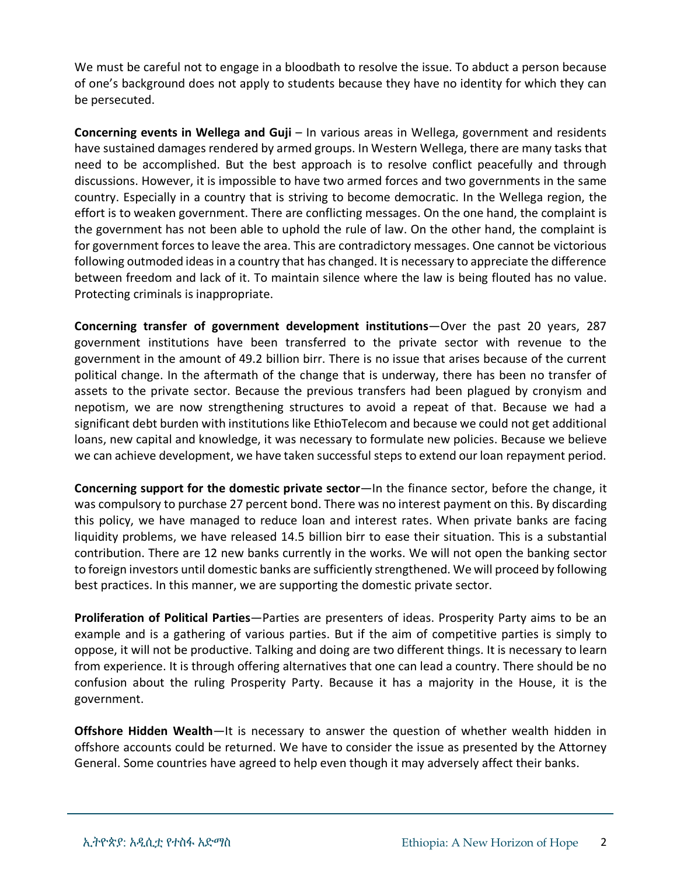We must be careful not to engage in a bloodbath to resolve the issue. To abduct a person because of one's background does not apply to students because they have no identity for which they can be persecuted.

**Concerning events in Wellega and Guji** – In various areas in Wellega, government and residents have sustained damages rendered by armed groups. In Western Wellega, there are many tasks that need to be accomplished. But the best approach is to resolve conflict peacefully and through discussions. However, it is impossible to have two armed forces and two governments in the same country. Especially in a country that is striving to become democratic. In the Wellega region, the effort is to weaken government. There are conflicting messages. On the one hand, the complaint is the government has not been able to uphold the rule of law. On the other hand, the complaint is for government forces to leave the area. This are contradictory messages. One cannot be victorious following outmoded ideas in a country that has changed. It is necessary to appreciate the difference between freedom and lack of it. To maintain silence where the law is being flouted has no value. Protecting criminals is inappropriate.

**Concerning transfer of government development institutions**—Over the past 20 years, 287 government institutions have been transferred to the private sector with revenue to the government in the amount of 49.2 billion birr. There is no issue that arises because of the current political change. In the aftermath of the change that is underway, there has been no transfer of assets to the private sector. Because the previous transfers had been plagued by cronyism and nepotism, we are now strengthening structures to avoid a repeat of that. Because we had a significant debt burden with institutions like EthioTelecom and because we could not get additional loans, new capital and knowledge, it was necessary to formulate new policies. Because we believe we can achieve development, we have taken successful steps to extend our loan repayment period.

**Concerning support for the domestic private sector**—In the finance sector, before the change, it was compulsory to purchase 27 percent bond. There was no interest payment on this. By discarding this policy, we have managed to reduce loan and interest rates. When private banks are facing liquidity problems, we have released 14.5 billion birr to ease their situation. This is a substantial contribution. There are 12 new banks currently in the works. We will not open the banking sector to foreign investors until domestic banks are sufficiently strengthened. We will proceed by following best practices. In this manner, we are supporting the domestic private sector.

**Proliferation of Political Parties**—Parties are presenters of ideas. Prosperity Party aims to be an example and is a gathering of various parties. But if the aim of competitive parties is simply to oppose, it will not be productive. Talking and doing are two different things. It is necessary to learn from experience. It is through offering alternatives that one can lead a country. There should be no confusion about the ruling Prosperity Party. Because it has a majority in the House, it is the government.

**Offshore Hidden Wealth**—It is necessary to answer the question of whether wealth hidden in offshore accounts could be returned. We have to consider the issue as presented by the Attorney General. Some countries have agreed to help even though it may adversely affect their banks.